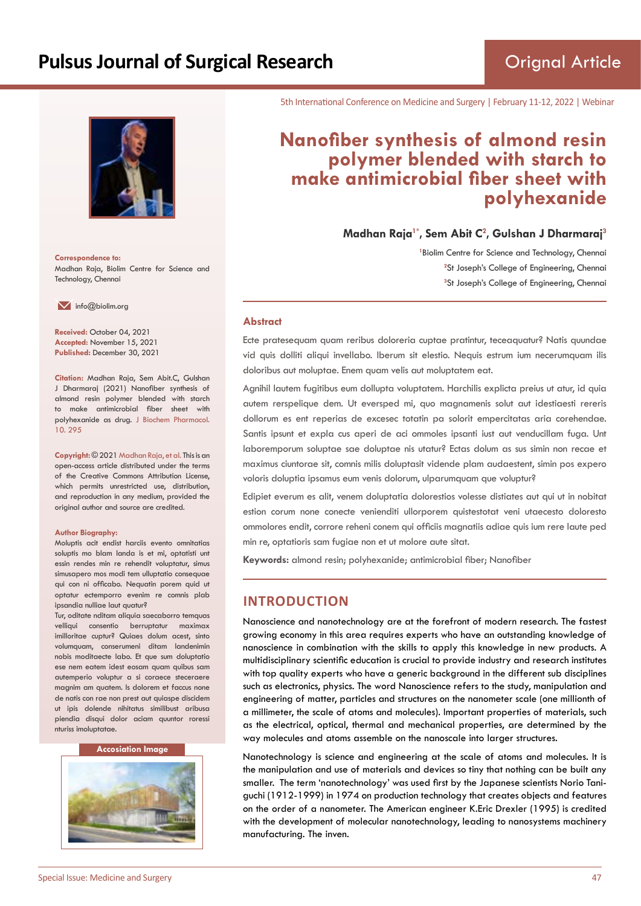

**Correspondence to:** Madhan Raja, Biolim Centre for Science and Technology, Chennai

 $\blacksquare$  info@biolim.org

**Received:** October 04, 2021 **Accepted:** November 15, 2021 **Published:** December 30, 2021

**Citation:** Madhan Raja, Sem Abit.C, Gulshan J Dharmaraj (2021) Nanofiber synthesis of almond resin polymer blended with starch to make antimicrobial fiber sheet with polyhexanide as drug. J Biochem Pharmacol. 10. 295

**Copyright:** © 2021 Madhan Raja, et al. This is an open-access article distributed under the terms of the Creative Commons Attribution License, which permits unrestricted use, distribution, and reproduction in any medium, provided the original author and source are credited.

#### **Author Biography:**

Moluptis acit endist harciis evento omnitatias soluptis mo blam landa is et mi, optatisti unt essin rendes min re rehendit voluptatur, simus simusapero mos modi tem ulluptatio consequae qui con ni officabo. Nequatin porem quid ut optatur ectemporro evenim re comnis plab ipsandia nulliae laut quatur?

Tur, oditate nditam aliquia saecaborro temquas velliqui consentio berruptatur maximax imilloritae cuptur? Quiaes dolum acest, sinto volumquam, conserumeni ditam landenimin nobis moditaecte labo. Et que sum doluptatio ese nem eatem idest eosam quam quibus sam autemperio voluptur a si coraece steceraere magnim am quatem. Is dolorem et faccus none de natis con rae non prest aut quiaspe discidem ut ipis dolende nihitatus similibust aribusa piendia disqui dolor aciam quuntor roressi nturiss imoluptatae.

#### **Accosiation Image**



5th International Conference on Medicine and Surgery | February 11-12, 2022 | Webinar

# **Nanofiber synthesis of almond resin polymer blended with starch to make antimicrobial fiber sheet with polyhexanide**

**Madhan Raja1\*, Sem Abit C<sup>2</sup> , Gulshan J Dharmaraj<sup>3</sup>**

<sup>1</sup> Biolim Centre for Science and Technology, Chennai <sup>2</sup>St Joseph's College of Engineering, Chennai **3** St Joseph's College of Engineering, Chennai

#### **Abstract**

Ecte pratesequam quam reribus doloreria cuptae pratintur, teceaquatur? Natis quundae vid quis dolliti aliqui invellabo. Iberum sit elestio. Nequis estrum ium necerumquam ilis doloribus aut moluptae. Enem quam velis aut moluptatem eat.

Agnihil lautem fugitibus eum dollupta voluptatem. Harchilis explicta preius ut atur, id quia autem rerspelique dem. Ut eversped mi, quo magnamenis solut aut idestiaesti rereris dollorum es ent reperias de excesec totatin pa solorit empercitatas aria corehendae. Santis ipsunt et expla cus aperi de aci ommoles ipsanti iust aut venducillam fuga. Unt laboremporum soluptae sae doluptae nis utatur? Ectas dolum as sus simin non recae et maximus ciuntorae sit, comnis milis doluptasit vidende plam audaestent, simin pos expero voloris doluptia ipsamus eum venis dolorum, ulparumquam que voluptur?

Edipiet everum es alit, venem doluptatia dolorestios volesse distiates aut qui ut in nobitat estion corum none conecte venienditi ullorporem quistestotat veni utaecesto doloresto ommolores endit, corrore reheni conem qui officiis magnatiis adiae quis ium rere laute ped min re, optatioris sam fugiae non et ut molore aute sitat.

**Keywords:** almond resin; polyhexanide; antimicrobial fiber; Nanofiber

# **INTRODUCTION**

Nanoscience and nanotechnology are at the forefront of modern research. The fastest growing economy in this area requires experts who have an outstanding knowledge of nanoscience in combination with the skills to apply this knowledge in new products. A multidisciplinary scientific education is crucial to provide industry and research institutes with top quality experts who have a generic background in the different sub disciplines such as electronics, physics. The word Nanoscience refers to the study, manipulation and engineering of matter, particles and structures on the nanometer scale (one millionth of a millimeter, the scale of atoms and molecules). Important properties of materials, such as the electrical, optical, thermal and mechanical properties, are determined by the way molecules and atoms assemble on the nanoscale into larger structures.

Nanotechnology is science and engineering at the scale of atoms and molecules. It is the manipulation and use of materials and devices so tiny that nothing can be built any smaller. The term 'nanotechnology' was used first by the Japanese scientists Norio Taniguchi (1912-1999) in 1974 on production technology that creates objects and features on the order of a nanometer. The American engineer K.Eric Drexler (1995) is credited with the development of molecular nanotechnology, leading to nanosystems machinery manufacturing. The inven.